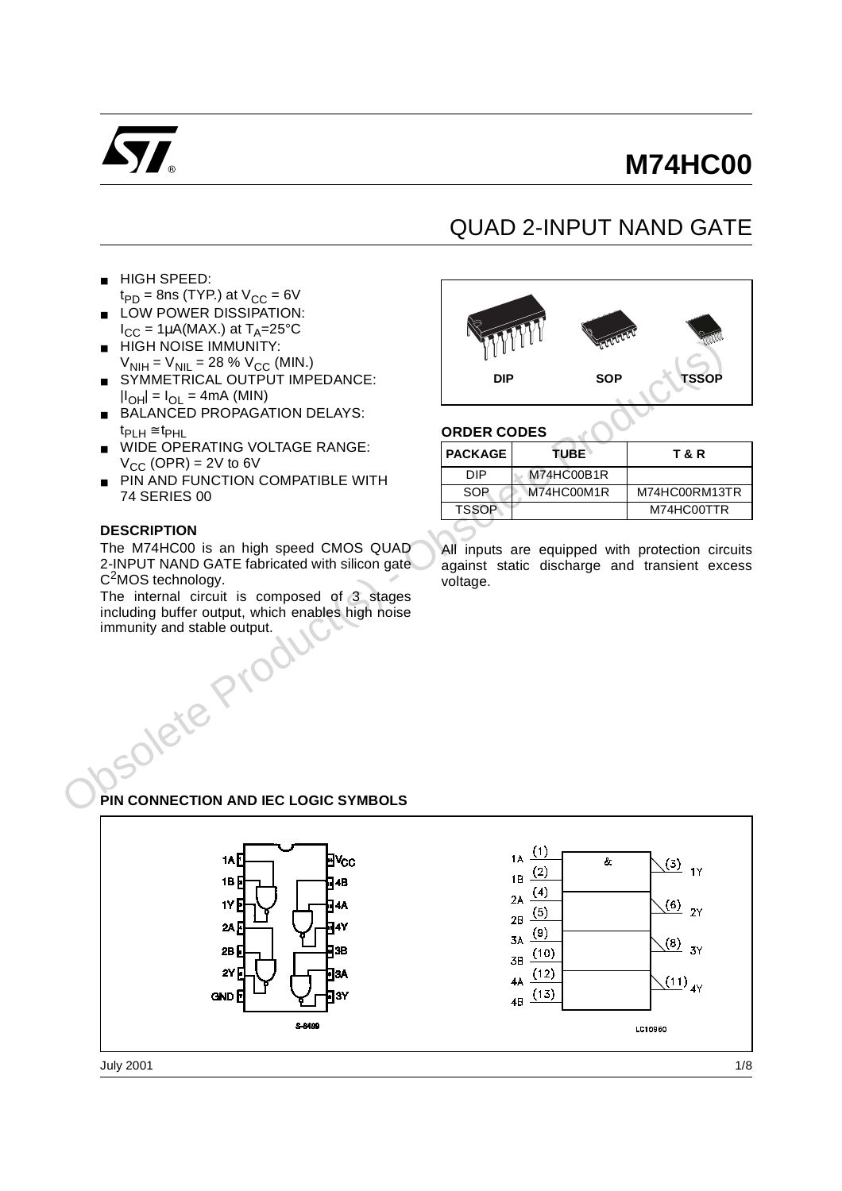

# **M74HC00**

# QUAD 2-INPUT NAND GATE

- HIGH SPEED:
- $t_{PD}$  = 8ns (TYP.) at  $V_{CC}$  = 6V ■ LOW POWER DISSIPATION:
- $I_{CC} = 1\mu A(MAX.)$  at  $T_A = 25^{\circ}C$
- HIGH NOISE IMMUNITY:  $V_{\text{NIH}} = V_{\text{NIL}} = 28 \% V_{\text{CC}}$  (MIN.)
- SYMMETRICAL OUTPUT IMPEDANCE:  $|I_{\text{OH}}| = I_{\text{OH}} = 4 \text{mA}$  (MIN)
- BALANCED PROPAGATION DELAYS:  $t_{\text{PLH}} \cong t_{\text{PHL}}$
- WIDE OPERATING VOLTAGE RANGE:  $V_{CC}$  (OPR) = 2V to 6V
- PIN AND FUNCTION COMPATIBLE WITH 74 SERIES 00

#### **DESCRIPTION**



#### **ORDER CODES**

| <b>HIGH NOISE IMMUNITY:</b>                                                                                                                                                                                                                         |                    | $\{V_1 \mid V_2 \mid \ldots \mid V_{n-1} \}$<br><b>SHARA</b> | Illlane                                                                                           |
|-----------------------------------------------------------------------------------------------------------------------------------------------------------------------------------------------------------------------------------------------------|--------------------|--------------------------------------------------------------|---------------------------------------------------------------------------------------------------|
| $V_{\text{NIH}} = V_{\text{NIL}} = 28 \% V_{\text{CC}}$ (MIN.)                                                                                                                                                                                      |                    |                                                              |                                                                                                   |
| SYMMETRICAL OUTPUT IMPEDANCE:                                                                                                                                                                                                                       | <b>DIP</b>         | <b>SOP</b>                                                   | <b>TSSOP</b>                                                                                      |
| $ I_{OH}  = I_{OL} = 4mA$ (MIN)                                                                                                                                                                                                                     |                    |                                                              |                                                                                                   |
| <b>BALANCED PROPAGATION DELAYS:</b>                                                                                                                                                                                                                 |                    |                                                              |                                                                                                   |
| $t_{\text{PLH}} \cong t_{\text{PHL}}$                                                                                                                                                                                                               | <b>ORDER CODES</b> |                                                              |                                                                                                   |
| WIDE OPERATING VOLTAGE RANGE:<br>$V_{CC}$ (OPR) = 2V to 6V                                                                                                                                                                                          | <b>PACKAGE</b>     | <b>TUBE</b>                                                  | <b>T&amp;R</b>                                                                                    |
| PIN AND FUNCTION COMPATIBLE WITH                                                                                                                                                                                                                    | <b>DIP</b>         | M74HC00B1R                                                   |                                                                                                   |
| 74 SERIES 00                                                                                                                                                                                                                                        | <b>SOP</b>         | M74HC00M1R                                                   | M74HC00RM13TR                                                                                     |
|                                                                                                                                                                                                                                                     | <b>TSSOP</b>       |                                                              | M74HC00TTR                                                                                        |
| <b>DESCRIPTION</b>                                                                                                                                                                                                                                  |                    |                                                              |                                                                                                   |
| The M74HC00 is an high speed CMOS QUAD<br>2-INPUT NAND GATE fabricated with silicon gate<br>$C2MOS$ technology.<br>The internal circuit is composed of 3 stages<br>including buffer output, which enables high noise<br>immunity and stable output. | voltage.           |                                                              | All inputs are equipped with protection circuits<br>against static discharge and transient excess |
|                                                                                                                                                                                                                                                     |                    |                                                              |                                                                                                   |
| PIN CONNECTION AND IEC LOGIC SYMBOLS                                                                                                                                                                                                                |                    |                                                              |                                                                                                   |
|                                                                                                                                                                                                                                                     |                    | (1)                                                          |                                                                                                   |

## **PIN CONNECTION AND IEC LOGIC SYMBOLS**

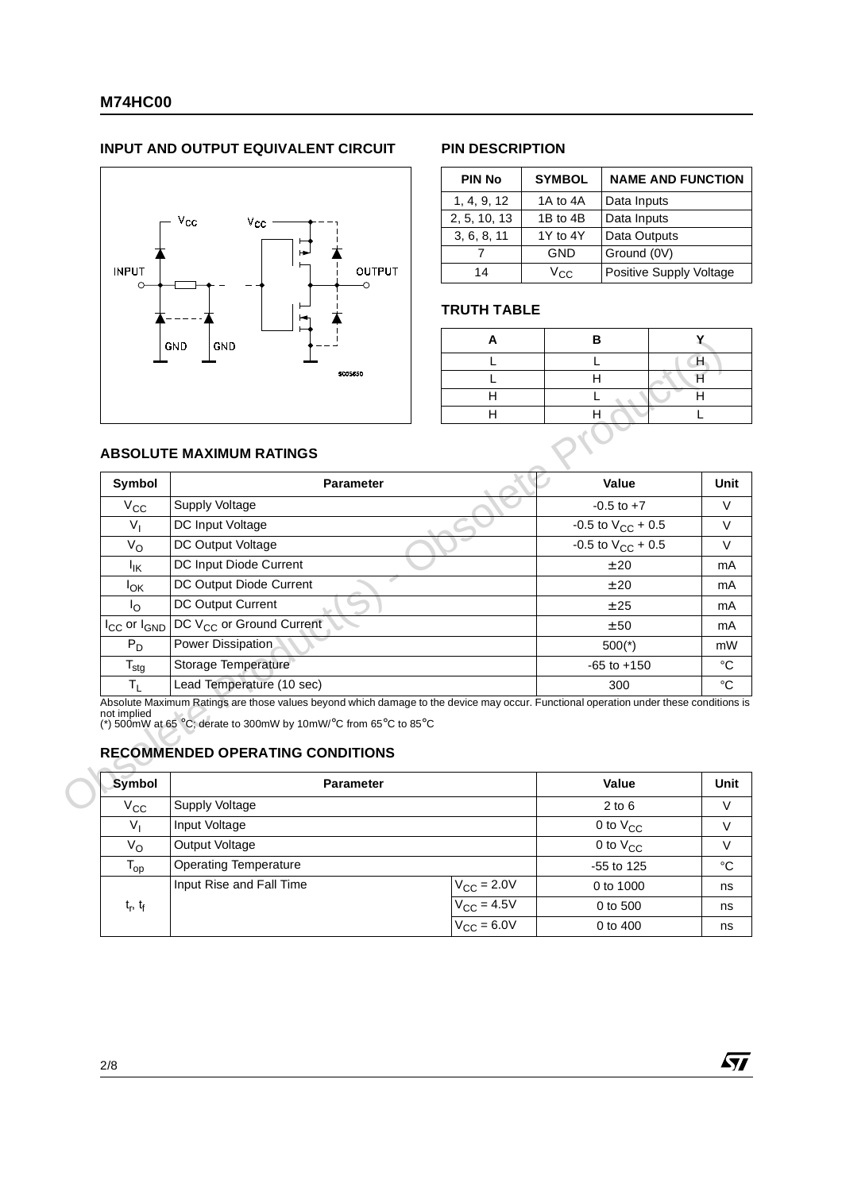#### **INPUT AND OUTPUT EQUIVALENT CIRCUIT PIN DESCRIPTION**



| <b>PIN No</b> | <b>SYMBOL</b> | <b>NAME AND FUNCTION</b> |
|---------------|---------------|--------------------------|
| 1, 4, 9, 12   | 1A to 4A      | Data Inputs              |
| 2, 5, 10, 13  | 1B to 4B      | Data Inputs              |
| 3, 6, 8, 11   | 1Y to 4Y      | Data Outputs             |
|               | GND           | Ground (0V)              |
| 14            | Vcc.          | Positive Supply Voltage  |

#### **TRUTH TABLE**

| R |  |
|---|--|
|   |  |
|   |  |
|   |  |
|   |  |
|   |  |

57

### **ABSOLUTE MAXIMUM RATINGS**

| Symbol                | <b>ABSOLUTE MAXIMUM RATINGS</b><br><b>Parameter</b>                                                                                                                                                                                                  | Value                  |
|-----------------------|------------------------------------------------------------------------------------------------------------------------------------------------------------------------------------------------------------------------------------------------------|------------------------|
| $V_{CC}$              | Supply Voltage                                                                                                                                                                                                                                       | $-0.5$ to $+7$         |
| $V_{I}$               | DC Input Voltage                                                                                                                                                                                                                                     | -0.5 to $V_{CC}$ + 0.5 |
| $V_{\rm O}$           | DC Output Voltage                                                                                                                                                                                                                                    | -0.5 to $V_{CC}$ + 0.5 |
| Ιıκ                   | DC Input Diode Current                                                                                                                                                                                                                               | ± 20                   |
| $I_{OK}$              | DC Output Diode Current                                                                                                                                                                                                                              | ± 20                   |
| $I_{\rm O}$           | DC Output Current                                                                                                                                                                                                                                    | ± 25                   |
| $I_{CC}$ or $I_{GND}$ | DC V <sub>CC</sub> or Ground Current                                                                                                                                                                                                                 | ± 50                   |
| $P_D$                 | Power Dissipation                                                                                                                                                                                                                                    | $500(*)$               |
| $T_{\text{stg}}$      | Storage Temperature                                                                                                                                                                                                                                  | $-65$ to $+150$        |
| $T_L$                 | Lead Temperature (10 sec)                                                                                                                                                                                                                            | 300                    |
| not implied           | Absolute Maximum Ratings are those values beyond which damage to the device may occur. Functional operation under these conditions is<br>(*) 500mW at 65 °C; derate to 300mW by 10mW/°C from 65°C to 85°C<br><b>RECOMMENDED OPERATING CONDITIONS</b> |                        |
|                       |                                                                                                                                                                                                                                                      |                        |
| <b>Symbol</b>         | <b>Parameter</b>                                                                                                                                                                                                                                     | Value                  |
| $V_{\rm CC}$          | <b>Supply Voltage</b>                                                                                                                                                                                                                                | $2$ to $6$             |
| $V_{1}$               | Input Voltage                                                                                                                                                                                                                                        | 0 to V <sub>CC</sub>   |

### **RECOMMENDED OPERATING CONDITIONS**

| Symbol        | <b>Parameter</b>             |                         | Value         | Unit |
|---------------|------------------------------|-------------------------|---------------|------|
| $V_{\rm CC}$  | Supply Voltage               |                         | $2$ to $6$    | V    |
| $V_{I}$       | Input Voltage                |                         | 0 to $V_{CC}$ | V    |
| Vo            | Output Voltage               |                         | 0 to $V_{CC}$ | V    |
| $T_{op}$      | <b>Operating Temperature</b> |                         | $-55$ to 125  | °C   |
|               | Input Rise and Fall Time     | $V_{\text{CC}} = 2.0 V$ | 0 to 1000     | ns   |
| $t_r$ , $t_f$ |                              | $V_{CC}$ = 4.5V         | 0 to 500      | ns   |
|               |                              | $V_{\text{CC}} = 6.0V$  | 0 to 400      | ns   |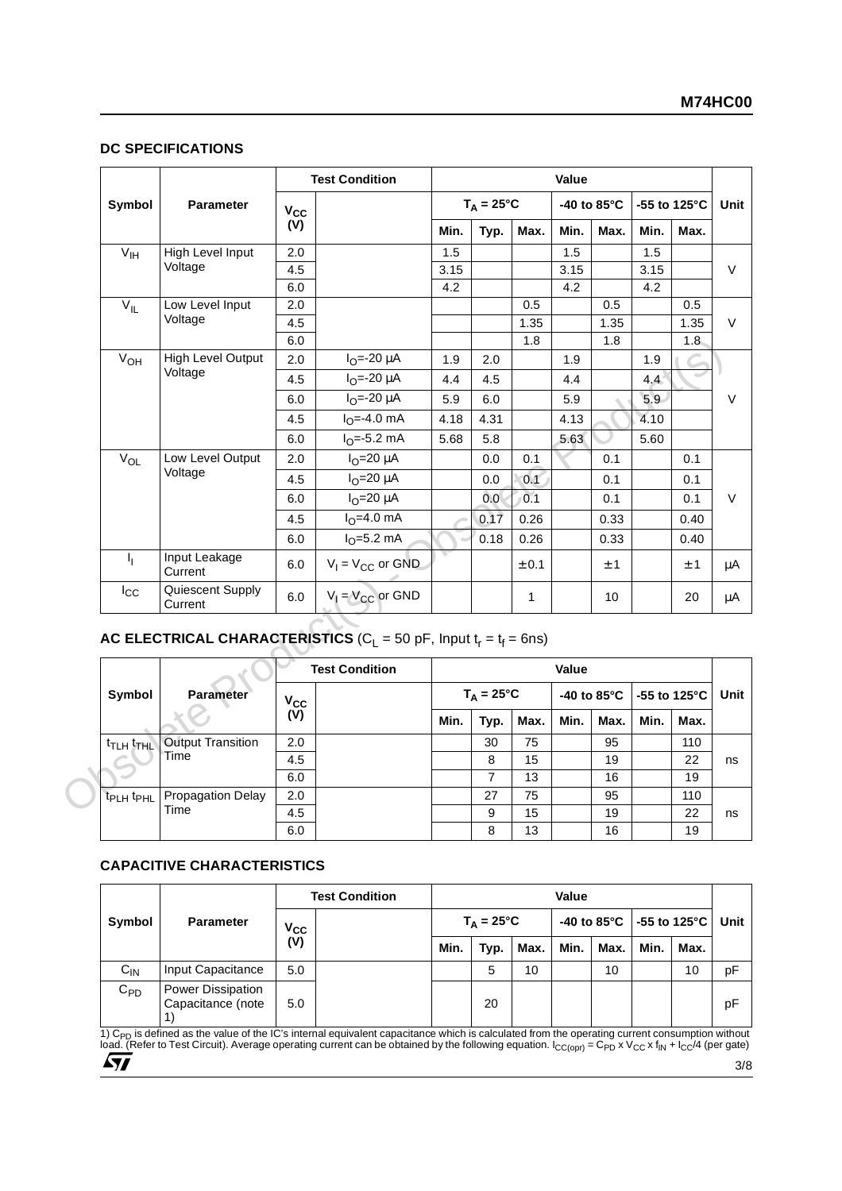#### **DC SPECIFICATIONS**

|                                   |                                     |              | <b>Test Condition</b>                                                                             |      |                     |              | Value |                       |                         |         |
|-----------------------------------|-------------------------------------|--------------|---------------------------------------------------------------------------------------------------|------|---------------------|--------------|-------|-----------------------|-------------------------|---------|
| Symbol                            | <b>Parameter</b>                    | $V_{\rm CC}$ |                                                                                                   |      | $T_A = 25^{\circ}C$ |              |       | -40 to $85^{\circ}$ C | -55 to 125 $^{\circ}$ C |         |
|                                   |                                     | (V)          |                                                                                                   | Min. | Typ.                | Max.         | Min.  | Max.                  | Min.                    | Max.    |
| $V_{\text{IH}}$                   | High Level Input                    | 2.0          |                                                                                                   | 1.5  |                     |              | 1.5   |                       | 1.5                     |         |
|                                   | Voltage                             | 4.5          |                                                                                                   | 3.15 |                     |              | 3.15  |                       | 3.15                    |         |
|                                   |                                     | 6.0          |                                                                                                   | 4.2  |                     |              | 4.2   |                       | 4.2                     |         |
| $V_{IL}$                          | Low Level Input                     | 2.0          |                                                                                                   |      |                     | 0.5          |       | 0.5                   |                         | 0.5     |
|                                   | Voltage                             | 4.5          |                                                                                                   |      |                     | 1.35         |       | 1.35                  |                         | 1.35    |
|                                   |                                     | $6.0\,$      |                                                                                                   |      |                     | 1.8          |       | 1.8                   |                         | 1.8     |
| V <sub>OH</sub>                   | <b>High Level Output</b><br>Voltage | 2.0          | $I_{O} = -20 \mu A$                                                                               | 1.9  | 2.0                 |              | 1.9   |                       | 1.9                     |         |
|                                   |                                     | 4.5          | $I_{O} = -20 \mu A$                                                                               | 4.4  | 4.5                 |              | 4.4   |                       | 4.4                     |         |
|                                   |                                     | 6.0          | $I_{O} = -20 \mu A$                                                                               | 5.9  | 6.0                 |              | 5.9   |                       | 5.9                     |         |
|                                   |                                     | 4.5          | $IO=-4.0$ mA                                                                                      | 4.18 | 4.31                |              | 4.13  |                       | 4.10                    |         |
|                                   |                                     | 6.0          | $IO=-5.2 mA$                                                                                      | 5.68 | 5.8                 |              | 5.63  |                       | 5.60                    |         |
| $V_{OL}$                          | Low Level Output                    | 2.0          | $IO=20 \mu A$                                                                                     |      | $0.0\,$             | 0.1          |       | 0.1                   |                         | 0.1     |
|                                   | Voltage                             | 4.5          | $IO=20 \mu A$                                                                                     |      | 0.0                 | 0.1          |       | 0.1                   |                         | 0.1     |
|                                   |                                     | 6.0          | $IO=20 \mu A$                                                                                     |      | 0.0                 | 0.1          |       | 0.1                   |                         | 0.1     |
|                                   |                                     | 4.5          | $IO=4.0 mA$                                                                                       |      | 0.17                | 0.26         |       | 0.33                  |                         | 0.40    |
|                                   |                                     | 6.0          | $IO=5.2 mA$                                                                                       |      | 0.18                | 0.26         |       | 0.33                  |                         | 0.40    |
| $I_{\rm L}$                       | Input Leakage<br>Current            | 6.0          | $V_1 = V_{CC}$ or GND                                                                             |      |                     | $\pm$ 0.1    |       | $\pm$ 1               |                         | $\pm$ 1 |
| $I_{\rm CC}$                      | Quiescent Supply<br>Current         | 6.0          | $V_1 = V_{CC}$ or GND                                                                             |      |                     | $\mathbf{1}$ |       | 10 <sup>1</sup>       |                         | 20      |
|                                   |                                     |              | AC ELECTRICAL CHARACTERISTICS ( $C_1 = 50$ pF, Input $t_r = t_f = 6$ ns)<br><b>Test Condition</b> |      |                     |              | Value |                       |                         |         |
| Symbol                            | <b>Parameter</b>                    | $V_{\rm CC}$ |                                                                                                   |      | $T_A = 25^{\circ}C$ |              |       | -40 to 85°C           | -55 to 125°C            |         |
|                                   |                                     | (V)          |                                                                                                   | Min. | Typ.                | Max.         | Min.  | Max.                  | Min.                    | Max.    |
| <sup>t</sup> TLH <sup>t</sup> THL | <b>Output Transition</b>            | 2.0          |                                                                                                   |      | 30                  | 75           |       | 95                    |                         | 110     |
|                                   | Time                                | 4.5          |                                                                                                   |      | 8                   | 15           |       | 19                    |                         | 22      |
|                                   |                                     | 6.0          |                                                                                                   |      | $\overline{7}$      | 13           |       | 16                    |                         | 19      |
| t <sub>PLH</sub> t <sub>PHL</sub> | <b>Propagation Delay</b>            | 2.0          |                                                                                                   |      | 27                  | 75           |       | 95                    |                         | 110     |
|                                   | Time                                | 4.5          |                                                                                                   |      | 9                   | 15           |       | 19                    |                         | 22      |
|                                   |                                     | 6.0          |                                                                                                   |      |                     | 13           |       | 16                    |                         |         |

## **AC ELECTRICAL CHARACTERISTICS** ( $C_L$  = 50 pF, Input  $t_r = t_f = 6$ ns)

|                                   |                          |                   | <b>Test Condition</b> |      |                     |      | Value |      |      |                            |      |
|-----------------------------------|--------------------------|-------------------|-----------------------|------|---------------------|------|-------|------|------|----------------------------|------|
| Symbol                            | <b>Parameter</b>         |                   |                       |      | $T_A = 25^{\circ}C$ |      |       |      |      | -40 to 85°C   -55 to 125°C | Unit |
|                                   |                          | $V_{CC}$<br>$(V)$ |                       | Min. | Typ.                | Max. | Min.  | Max. | Min. | Max.                       |      |
| <sup>t</sup> TLH <sup>t</sup> THL | <b>Output Transition</b> | 2.0               |                       |      | 30                  | 75   |       | 95   |      | 110                        |      |
|                                   | Time                     | 4.5               |                       |      | 8                   | 15   |       | 19   |      | 22                         | ns   |
|                                   |                          | 6.0               |                       |      | 7                   | 13   |       | 16   |      | 19                         |      |
| T <sub>PLH</sub> t <sub>PHL</sub> | Propagation Delay        | 2.0               |                       |      | 27                  | 75   |       | 95   |      | 110                        |      |
|                                   | Time                     | 4.5               |                       |      | 9                   | 15   |       | 19   |      | 22                         | ns   |
|                                   |                          | 6.0               |                       |      | 8                   | 13   |       | 16   |      | 19                         |      |

#### **CAPACITIVE CHARACTERISTICS**

|          |                                               |                            | <b>Test Condition</b> |      |                     |      | Value |      |      |                                                  |      |
|----------|-----------------------------------------------|----------------------------|-----------------------|------|---------------------|------|-------|------|------|--------------------------------------------------|------|
| Symbol   | <b>Parameter</b>                              | $\mathsf{v}_{\mathsf{cc}}$ |                       |      | $T_A = 25^{\circ}C$ |      |       |      |      | -40 to 85 $^{\circ}$ C   -55 to 125 $^{\circ}$ C | Unit |
|          |                                               | $\overline{\text{(V)}}$    |                       | Min. | Typ.                | Max. | Min.  | Max. | Min. | Max.                                             |      |
| $C_{IN}$ | Input Capacitance                             | 5.0                        |                       |      | 5                   | 10   |       | 10   |      | 10                                               | рF   |
| $C_{PD}$ | <b>Power Dissipation</b><br>Capacitance (note | 5.0                        |                       |      | 20                  |      |       |      |      |                                                  | pF   |

1) C<sub>PD</sub> is defined as the value of the IC's internal equivalent capacitance which is calculated from the operating current consumption without<br>Ioad. (Refer to Test Circuit). Average operating current can be obtained by th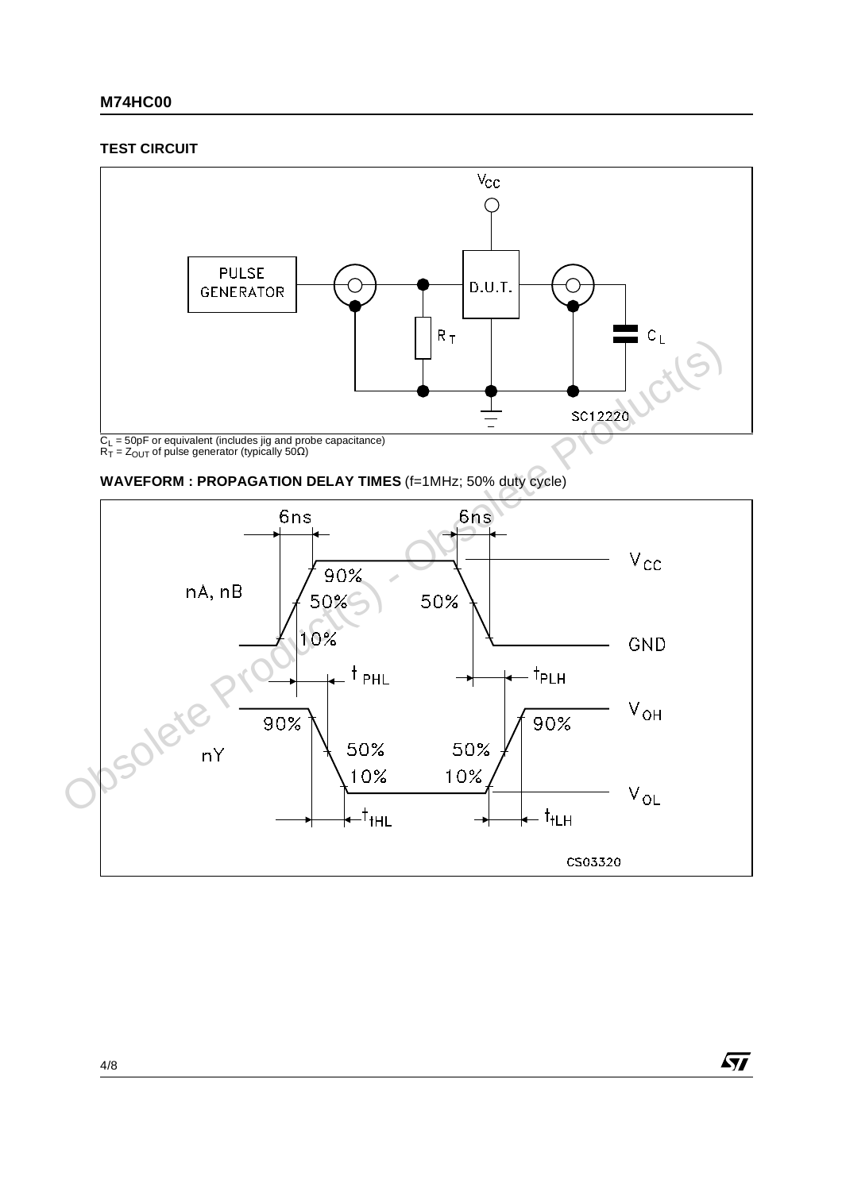### **M74HC00**

#### **TEST CIRCUIT**







 $\sqrt{M}$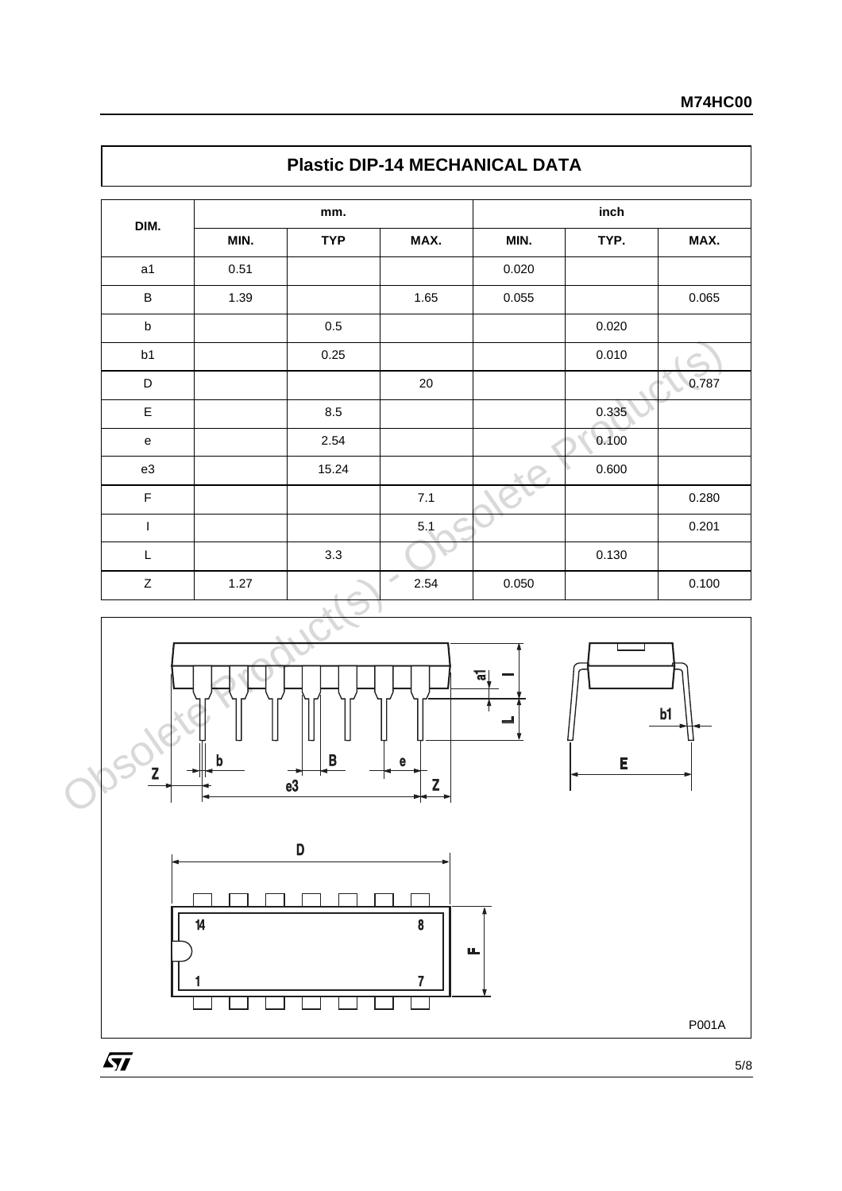|                |      | mm.        |        |       | inch  |                         |
|----------------|------|------------|--------|-------|-------|-------------------------|
| DIM.           | MIN. | <b>TYP</b> | MAX.   | MIN.  | TYP.  | MAX.                    |
| a <sub>1</sub> | 0.51 |            |        | 0.020 |       |                         |
| $\sf B$        | 1.39 |            | 1.65   | 0.055 |       | 0.065                   |
| $\sf b$        |      | 0.5        |        |       | 0.020 |                         |
| b1             |      | 0.25       |        |       | 0.010 |                         |
| D              |      |            | $20\,$ |       |       | 0.787<br>$\blacksquare$ |
| E              |      | 8.5        |        |       | 0.335 |                         |
| $\mathbf e$    |      | 2.54       |        |       | 0.100 |                         |
| e3             |      | 15.24      |        |       | 0.600 |                         |
| $\mathsf F$    |      |            | $7.1$  |       |       | 0.280                   |
| $\overline{1}$ |      |            | 5.1    |       |       | 0.201                   |
| $\mathsf L$    |      | 3.3        |        |       | 0.130 |                         |
| Z              | 1.27 | $\sim$     | 2.54   | 0.050 |       | 0.100                   |

# **Plastic DIP-14 MECHANICAL DATA**



5/8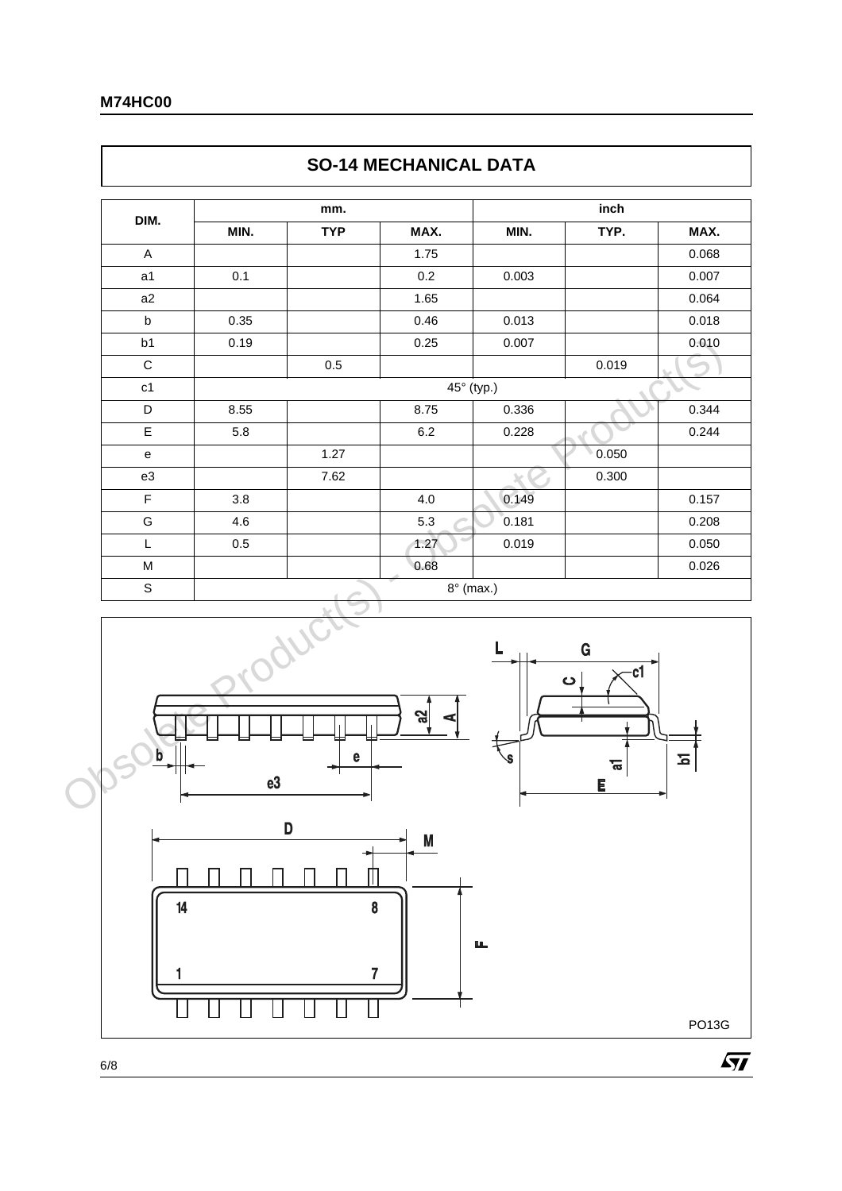$\Gamma$ 

| DIM.        |      |            |                  |                | inch                                     |          |
|-------------|------|------------|------------------|----------------|------------------------------------------|----------|
|             | MIN. | <b>TYP</b> | MAX.             | MIN.           | TYP.                                     | MAX.     |
| A           |      |            | 1.75             |                |                                          | 0.068    |
| a1          | 0.1  |            | $0.2\,$          | 0.003          |                                          | 0.007    |
| a2          |      |            | 1.65             |                |                                          | 0.064    |
| $\sf b$     | 0.35 |            | 0.46             | 0.013          |                                          | 0.018    |
| b1          | 0.19 |            | 0.25             | 0.007          |                                          | 0.010    |
| $\mathsf C$ |      | $0.5\,$    |                  |                | 0.019                                    |          |
| c1          |      |            | 45° (typ.)       |                |                                          |          |
| D           | 8.55 |            | 8.75             | 0.336          |                                          | 0.344    |
| $\mathsf E$ | 5.8  |            | $6.2\,$          | 0.228          |                                          | 0.244    |
| e           |      | 1.27       |                  |                | 0.050                                    |          |
| e3          |      | 7.62       |                  |                | 0.300                                    |          |
| $\mathsf F$ | 3.8  |            | 4.0              | 0.149          |                                          | 0.157    |
| G           | 4.6  |            | 5.3              | 0.181          |                                          | 0.208    |
| L           | 0.5  |            | 1.27             | 0.019          |                                          | 0.050    |
| M           |      |            | 0.68             |                |                                          | 0.026    |
| $\mathbb S$ |      |            | $8^\circ$ (max.) |                |                                          |          |
| b           | e3   | e          | $\mathbf{z}$     | $\bullet$<br>ė | $\mathbf G$<br>$\overline{c1}$<br>ᢛ<br>E | <u>ъ</u> |

# **SO-14 MECHANICAL DATA**







PO13G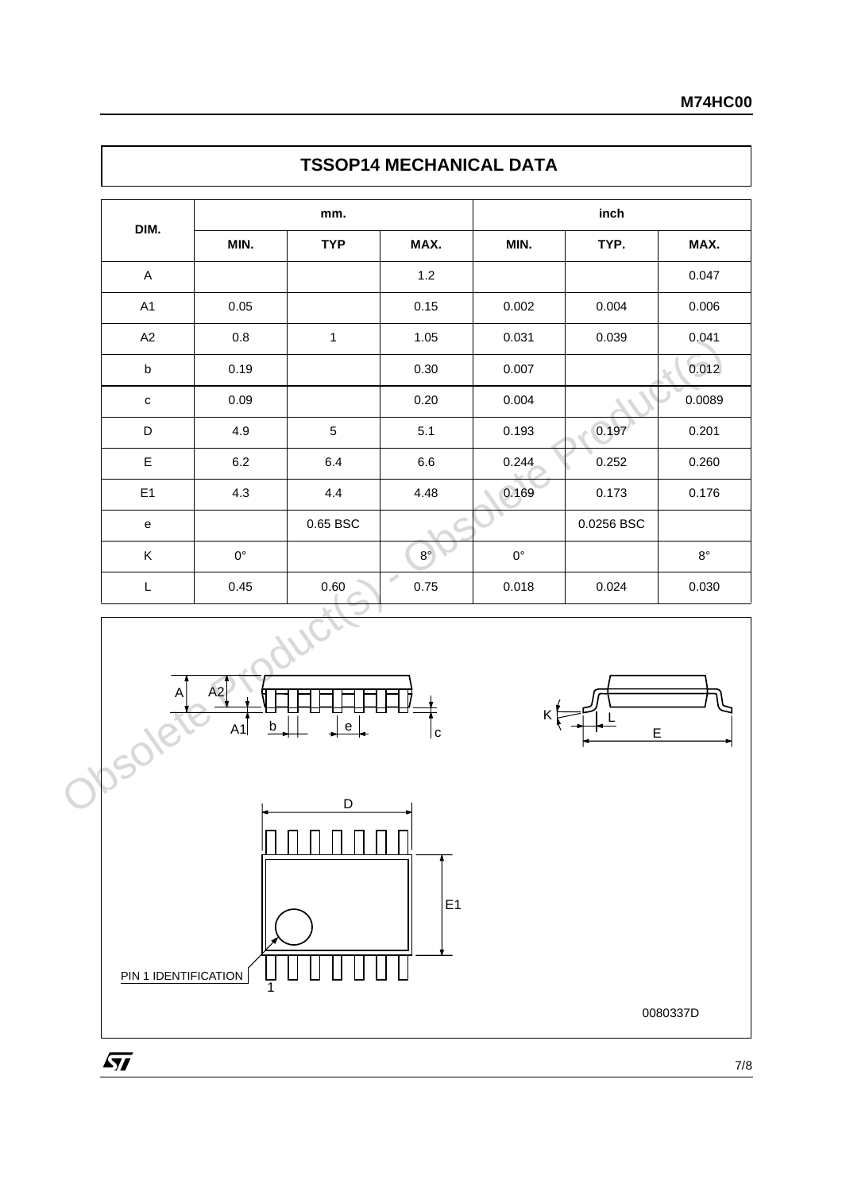| DIM.                                                                                                        |             | mm.          |               |             |            |             |
|-------------------------------------------------------------------------------------------------------------|-------------|--------------|---------------|-------------|------------|-------------|
|                                                                                                             | MIN.        | <b>TYP</b>   | MAX.          | MIN.        | TYP.       | MAX.        |
| $\boldsymbol{\mathsf{A}}$                                                                                   |             |              | $1.2$         |             |            | 0.047       |
| A1                                                                                                          | $0.05\,$    |              | 0.15          | 0.002       | 0.004      | 0.006       |
| A2                                                                                                          | $0.8\,$     | $\mathbf{1}$ | 1.05          | 0.031       | 0.039      | 0.041       |
| $\sf b$                                                                                                     | 0.19        |              | 0.30          | 0.007       |            | 0.012       |
| $\mathtt{C}$                                                                                                | 0.09        |              | 0.20          | 0.004       |            | 0.0089      |
| D                                                                                                           | 4.9         | $\sqrt{5}$   | 5.1           | 0.193       | 0.197<br>P | 0.201       |
| $\mathsf E$                                                                                                 | $6.2\,$     | $6.4\,$      | $6.6\,$       | 0.244       | 0.252      | 0.260       |
| E <sub>1</sub>                                                                                              | 4.3         | 4.4          | 4.48          | 0.169       | 0.173      | 0.176       |
| $\mathsf{e}% _{t}\left( t\right)$                                                                           |             | 0.65 BSC     |               |             | 0.0256 BSC |             |
| $\sf K$                                                                                                     | $0^{\circ}$ |              | $8^{\circ}$   | $0^{\circ}$ |            | $8^{\circ}$ |
| $\mathsf{L}% _{0}\left( \mathsf{L}_{0}\right) ^{\ast }=\mathsf{L}_{0}\left( \mathsf{L}_{0}\right) ^{\ast }$ | 0.45        | 0.60         | Í<br>$0.75\,$ | 0.018       | 0.024      | 0.030       |

# **TSSOP14 MECHANICAL DATA**







0080337D